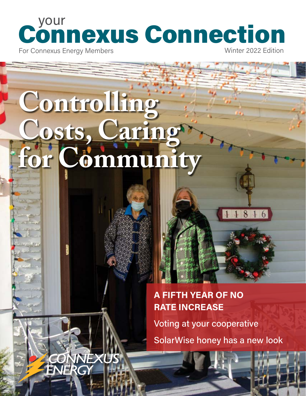# your Connexus Connection

For Connexus Energy Members

Winter 2022 Edition

11816

## **Controlling Costs, Caring for Community**

VNEXUS

#### **A FIFTH YEAR OF NO RATE INCREASE**

Voting at your cooperative

SolarWise honey has a new look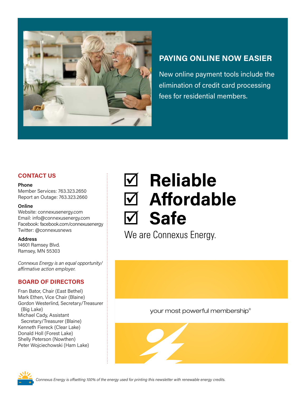

#### **PAYING ONLINE NOW EASIER**

New online payment tools include the elimination of credit card processing fees for residential members.

#### **CONTACT US**

#### **Phone**

Member Services: 763.323.2650 Report an Outage: 763.323.2660

#### **Online**

Website: connexusenergy.com Email: info@connexusenergy.com Facebook: facebook.com/connexusenergy Twitter: @connexusnews

#### **Address**

14601 Ramsey Blvd. Ramsey, MN 55303

*Connexus Energy is an equal opportunity/ affirmative action employer.* 

#### **BOARD OF DIRECTORS**

Fran Bator, Chair (East Bethel) Mark Ethen, Vice Chair (Blaine) Gordon Westerlind, Secretary/Treasurer (Big Lake) Michael Cady, Assistant Secretary/Treasurer (Blaine) Kenneth Fiereck (Clear Lake) Donald Holl (Forest Lake) Shelly Peterson (Nowthen) Peter Wojciechowski (Ham Lake)

### ; **Reliable** ; **Affordable** ; **Safe**

We are Connexus Energy.

#### your most powerful membership®





*Connexus Energy is offsetting 100% of the energy used for printing this newsletter with renewable energy credits.*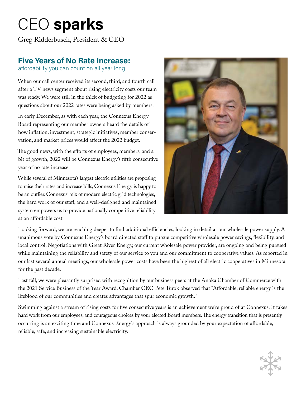### CEO **sparks**

Greg Ridderbusch, President & CEO

#### **Five Years of No Rate Increase:**

affordability you can count on all year long

When our call center received its second, third, and fourth call after a TV news segment about rising electricity costs our team was ready. We were still in the thick of budgeting for 2022 as questions about our 2022 rates were being asked by members.

In early December, as with each year, the Connexus Energy Board representing our member owners heard the details of how inflation, investment, strategic initiatives, member conservation, and market prices would affect the 2022 budget.

The good news, with the efforts of employees, members, and a bit of growth, 2022 will be Connexus Energy's fifth consecutive year of no rate increase.

While several of Minnesota's largest electric utilities are proposing to raise their rates and increase bills, Connexus Energy is happy to be an outlier. Connexus' mix of modern electric grid technologies, the hard work of our staff, and a well-designed and maintained system empowers us to provide nationally competitive reliability at an affordable cost.



Looking forward, we are reaching deeper to find additional efficiencies, looking in detail at our wholesale power supply. A unanimous vote by Connexus Energy's board directed staff to pursue competitive wholesale power savings, flexibility, and local control. Negotiations with Great River Energy, our current wholesale power provider, are ongoing and being pursued while maintaining the reliability and safety of our service to you and our commitment to cooperative values. As reported in our last several annual meetings, our wholesale power costs have been the highest of all electric cooperatives in Minnesota for the past decade.

Last fall, we were pleasantly surprised with recognition by our business peers at the Anoka Chamber of Commerce with the 2021 Service Business of the Year Award. Chamber CEO Pete Turok observed that "Affordable, reliable energy is the lifeblood of our communities and creates advantages that spur economic growth."

Swimming against a stream of rising costs for five consecutive years is an achievement we're proud of at Connexus. It takes hard work from our employees, and courageous choices by your elected Board members. The energy transition that is presently occurring is an exciting time and Connexus Energy's approach is always grounded by your expectation of affordable, reliable, safe, and increasing sustainable electricity.

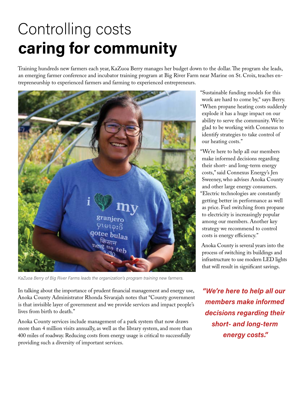### Controlling costs **caring for community**

Training hundreds new farmers each year, KaZuoa Berry manages her budget down to the dollar. The program she leads, an emerging farmer conference and incubator training program at Big River Farm near Marine on St. Croix, teaches entrepreneurship to experienced farmers and farming to experienced entrepreneurs.



*KaZuoa Berry of Big River Farms leads the organization's program training new farmers.*

In talking about the importance of prudent financial management and energy use, Anoka County Administrator Rhonda Sivarajah notes that "County government is that invisible layer of government and we provide services and impact people's lives from birth to death."

Anoka County services include management of a park system that now draws more than 4 million visits annually, as well as the library system, and more than 400 miles of roadway. Reducing costs from energy usage is critical to successfully providing such a diversity of important services.

"Sustainable funding models for this work are hard to come by," says Berry. "When propane heating costs suddenly explode it has a huge impact on our ability to serve the community. We're glad to be working with Connexus to identify strategies to take control of our heating costs."

"We're here to help all our members make informed decisions regarding their short- and long-term energy costs," said Connexus Energy's Jen Sweeney, who advises Anoka County and other large energy consumers. "Electric technologies are constantly getting better in performance as well as price. Fuel switching from propane to electricity is increasingly popular among our members. Another key strategy we recommend to control costs is energy efficiency."

Anoka County is several years into the process of switching its buildings and infrastructure to use modern LED lights that will result in significant savings.

*"We're here to help all our members make informed decisions regarding their short- and long-term energy costs."*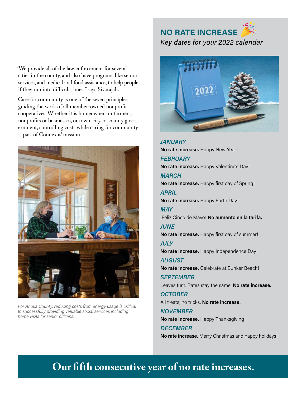**NO RATE INCREASE** *Key dates for your 2022 calendar*

"We provide all of the law enforcement for several cities in the county, and also have programs like senior services, and medical and food assistance, to help people if they run into difficult times," says Sivarajah.

Care for community is one of the seven principles guiding the work of all member-owned nonprofit cooperatives. Whether it is homeowners or farmers, nonprofits or businesses, or town, city, or county government, controlling costs while caring for community is part of Connexus' mission.



*For Anoka County, reducing costs from energy usage is critical to successfully providing valuable social services including home visits for senior citizens.*



*JANUARY* **No rate increase.** Happy New Year! *FEBRUARY* **No rate increase.** Happy Valentine's Day! *MARCH* **No rate increase.** Happy first day of Spring! *APRIL* **No rate increase.** Happy Earth Day! *MAY* ¡Feliz Cinco de Mayo! **No aumento en la tarifa.** *JUNE* **No rate increase.** Happy first day of summer! *JULY* **No rate increase.** Happy Independence Day! *AUGUST* **No rate increase.** Celebrate at Bunker Beach! *SEPTEMBER* Leaves turn. Rates stay the same. **No rate increase.**  *OCTOBER* All treats, no tricks. **No rate increase.** *NOVEMBER* **No rate increase.** Happy Thanksgiving! *DECEMBER* **No rate increase.** Merry Christmas and happy holidays!

#### **Our fifth consecutive year of no rate increases.**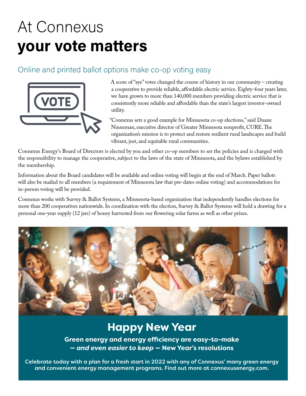### At Connexus **your vote matters**

#### Online and printed ballot options make co-op voting easy



A score of "aye" votes changed the course of history in our community – creating a cooperative to provide reliable, affordable electric service. Eighty-four years later, we have grown to more than 140,000 members providing electric service that is consistently more reliable and affordable than the state's largest investor-owned utility.

"Connexus sets a good example for Minnesota co-op elections," said Duane Ninneman, executive director of Greater Minnesota nonprofit, CURE. The organization's mission is to protect and restore resilient rural landscapes and build vibrant, just, and equitable rural communities.

Connexus Energy's Board of Directors is elected by you and other co-op members to set the policies and is charged with the responsibility to manage the cooperative, subject to the laws of the state of Minnesota, and the bylaws established by the membership.

Information about the Board candidates will be available and online voting will begin at the end of March. Paper ballots will also be mailed to all members (a requirement of Minnesota law that pre-dates online voting) and accommodations for in-person voting will be provided.

Connexus works with Survey & Ballot Systems, a Minnesota-based organization that independently handles elections for more than 200 cooperatives nationwide. In coordination with the election, Survey & Ballot Systems will hold a drawing for a personal one-year supply (12 jars) of honey harvested from our flowering solar farms as well as other prizes.



#### **Happy New Year**

**Green energy and energy efficiency are easy-to-make —** *and even easier to keep* **— New Year's resolutions**

Celebrate today with a plan for a fresh start in 2022 with any of Connexus' many green energy and convenient energy management programs. Find out more at connexusenergy.com.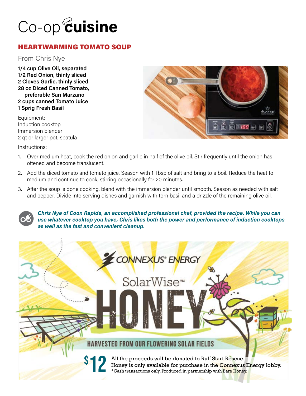### Co-op<sup>@</sup>uisine

#### HEARTWARMING TOMATO SOUP

From Chris Nye

**1/4 cup Olive Oil, separated 1/2 Red Onion, thinly sliced 2 Cloves Garlic, thinly sliced 28 oz Diced Canned Tomato, preferable San Marzano 2 cups canned Tomato Juice 1 Sprig Fresh Basil**

Equipment: Induction cooktop Immersion blender 2 qt or larger pot, spatula

Instructions:



- 1. Over medium heat, cook the red onion and garlic in half of the olive oil. Stir frequently until the onion has oftened and become translucent.
- 2. Add the diced tomato and tomato juice. Season with 1 Tbsp of salt and bring to a boil. Reduce the heat to medium and continue to cook, stirring occasionally for 20 minutes.
- 3. After the soup is done cooking, blend with the immersion blender until smooth. Season as needed with salt and pepper. Divide into serving dishes and garnish with torn basil and a drizzle of the remaining olive oil.

*Chris Nye of Coon Rapids, an accomplished professional chef, provided the recipe. While you can use whatever cooktop you have, Chris likes both the power and performance of induction cooktops as well as the fast and convenient cleanup.*

# CONNEXUS ENERGY

#### HARVESTED FROM OUR FLOWERING SOLAR FIELDS

\$

12

All the proceeds will be donated to Ruff Start Rescue. Honey is only available for purchase in the Connexus Energy lobby. \*Cash transactions only. Produced in partnership with Bare Honey.